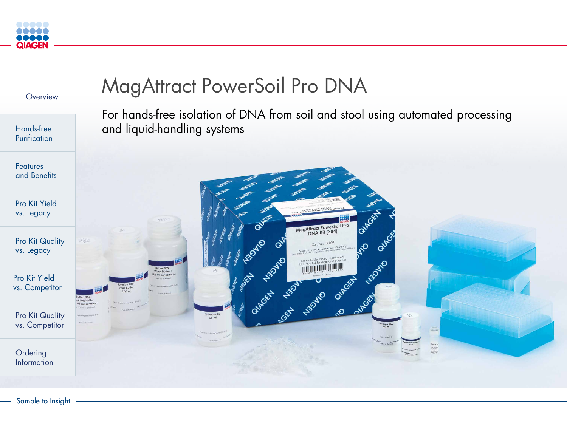



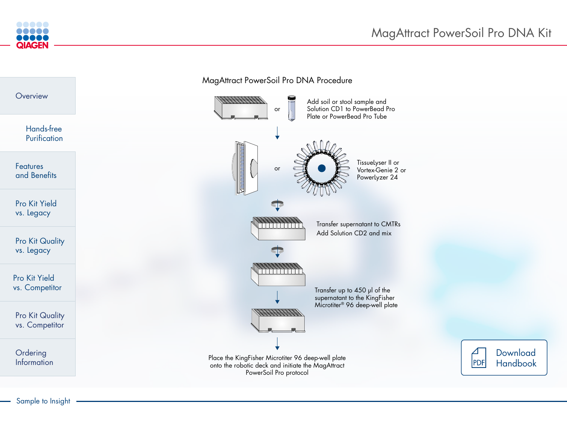## MagAttract PowerSoil Pro DNA Kit



| Overview                                 | <b>MagAttract Po</b>                                   |
|------------------------------------------|--------------------------------------------------------|
| Hands-free<br>Purification               |                                                        |
| <b>Features</b><br>and Benefits          |                                                        |
| <b>Pro Kit Yield</b><br>vs. Legacy       |                                                        |
| <b>Pro Kit Quality</b><br>vs. Legacy     |                                                        |
| Pro Kit Yield<br>vs. Competitor          |                                                        |
| <b>Pro Kit Quality</b><br>vs. Competitor |                                                        |
| Ordering<br>Information                  | Place the KingF<br>onto the robotion<br>P <sub>C</sub> |
|                                          |                                                        |



Place the KingFisher Microtiter 96 deep-well plate onto the robotic deck and initiate the MagAttract PowerSoil Pro protocol



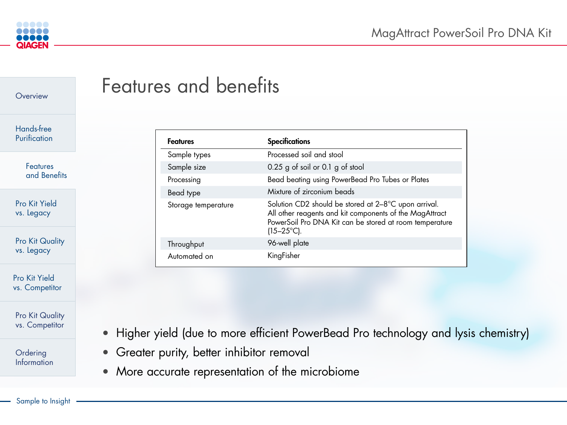



| <b>Specifications</b>                                                                                                                                                                             |
|---------------------------------------------------------------------------------------------------------------------------------------------------------------------------------------------------|
| Processed soil and stool                                                                                                                                                                          |
| 0.25 g of soil or 0.1 g of stool                                                                                                                                                                  |
| Bead beating using PowerBead Pro Tubes or Plates                                                                                                                                                  |
| Mixture of zirconium beads                                                                                                                                                                        |
| Solution CD2 should be stored at 2-8°C upon arrival.<br>All other reagents and kit components of the MagAttract<br>PowerSoil Pro DNA Kit can be stored at room temperature<br>$(15-25^{\circ}C).$ |
| 96-well plate                                                                                                                                                                                     |
| KingFisher                                                                                                                                                                                        |

• Higher yield (due to more efficient PowerBead Pro technology and lysis chemistry)



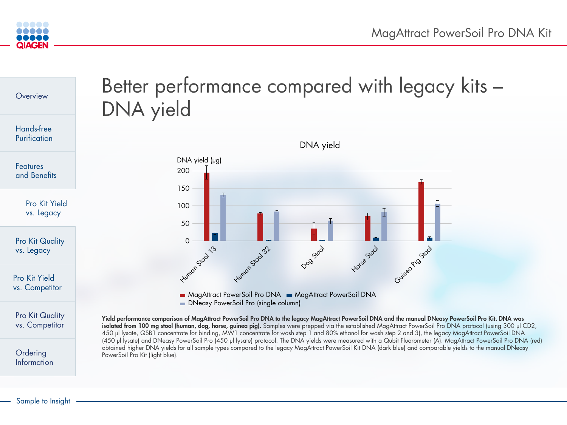## ce compared with legacy kits –

MagAttract PowerSoil Pro DNA MagAttract PowerSoil DNA Pro (single column)

isolated from 100 mg stool (human, dog, horse, guinea pig). Samples were prepped via the established MagAttract PowerSoil Pro DNA protocol (using 300 µl CD2, I Pro DNA to the legacy MagAttract PowerSoil DNA and the manual DNeasy PowerSoil Pro Kit. DNA was ncentrate for wash step 1 and 80% ethanol for wash step 2 and 3), the legacy MagAttract PowerSoil DNA te) protocol. The DNA yields were measured with a Qubit Fluorometer (A). MagAttract PowerSoil Pro DNA (red) ared to the legacy MagAttract PowerSoil Kit DNA (dark blue) and comparable yields to the manual DNeasy







| Overview                                 | Better performanc<br>DNA yield                                                                                                                                        |
|------------------------------------------|-----------------------------------------------------------------------------------------------------------------------------------------------------------------------|
| <b>Hands-free</b><br>Purification        |                                                                                                                                                                       |
| <b>Features</b><br>and Benefits          | DNA yield (µg)<br>200                                                                                                                                                 |
| Pro Kit Yield<br>vs. Legacy              | 150<br>100<br>50                                                                                                                                                      |
| <b>Pro Kit Quality</b><br>vs. Legacy     | <b>Humon Stool 13</b>                                                                                                                                                 |
| <b>Pro Kit Yield</b><br>vs. Competitor   | <b>UITO</b><br>MagAttract PowerSc<br><b>DNeasy PowerSoil F</b>                                                                                                        |
| <b>Pro Kit Quality</b><br>vs. Competitor | Yield performance comparison of MagAttract PowerSoil<br>isolated from 100 mg stool (human, dog, horse, guinea<br>450 µl lysate, QSB1 concentrate for binding, MW1 cor |
| Ordering<br>Information                  | (450 µl lysate) and DNeasy PowerSoil Pro (450 µl lysat<br>obtained higher DNA yields for all sample types compo<br>PowerSoil Pro Kit (light blue).                    |
|                                          |                                                                                                                                                                       |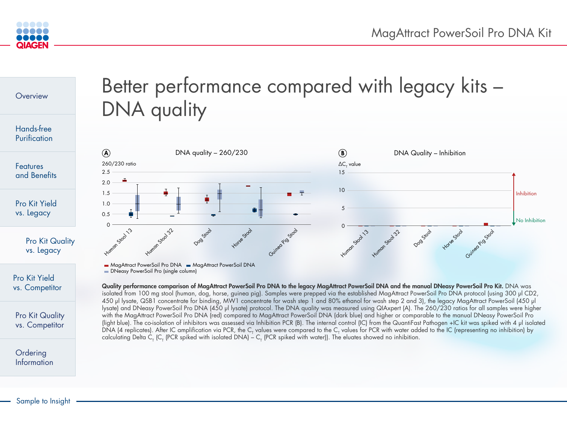





**DNeasy PowerSoil Pro (single column)** 

Quality performance comparison of MagAttract PowerSoil Pro DNA to the legacy MagAttract PowerSoil DNA and the manual DNeasy PowerSoil Pro Kit. DNA was isolated from 100 mg stool (human, dog, horse, guinea pig). Samples were prepped via the established MagAttract PowerSoil Pro DNA protocol (using 300 µl CD2, 450 µl lysate, QSB1 concentrate for binding, MW1 concentrate for wash step 1 and 80% ethanol for wash step 2 and 3), the legacy MagAttract PowerSoil (450 µl lysate) and DNeasy PowerSoil Pro DNA (450 µl lysate) protocol. The DNA quality was measured using QIAxpert (A). The 260/230 ratios for all samples were higher with the MagAttract PowerSoil Pro DNA (red) compared to MagAttract PowerSoil DNA (dark blue) and higher or comparable to the manual DNeasy PowerSoil Pro (light blue). The co-isolation of inhibitors was assessed via Inhibition PCR (B). The internal control (IC) from the QuantiFast Pathogen +IC kit was spiked with 4 µl isolated DNA (4 replicates). After IC amplification via PCR, the C<sub>T</sub> values were compared to the C<sub>T</sub> values for PCR with water added to the IC (representing no inhibition) by calculating Delta C<sub>T</sub> (C<sub>T</sub> (PCR spiked with isolated DNA) – C<sub>T</sub> (PCR spiked with water)). The eluates showed no inhibition.

## Better performance compared with legacy kits – DNA quality Dog Stool Horse Stool 0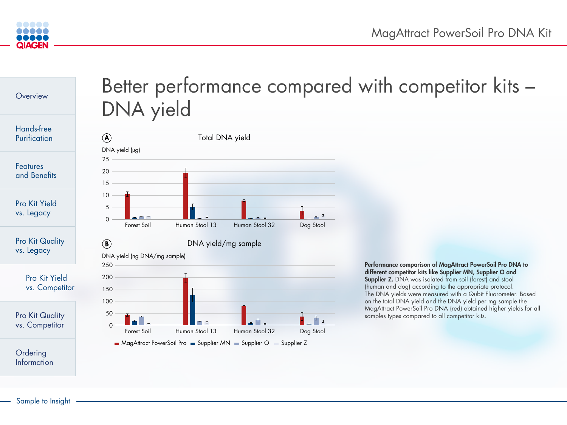



# Better performance compared with competitor kits – DNA yield



Performance comparison of MagAttract PowerSoil Pro DNA to different competitor kits like Supplier MN, Supplier O and Supplier Z. DNA was isolated from soil (forest) and stool (human and dog) according to the appropriate protocol. The DNA yields were measured with a Qubit Fluorometer. Based on the total DNA yield and the DNA yield per mg sample the MagAttract PowerSoil Pro DNA (red) obtained higher yields for all samples types compared to all competitor kits.

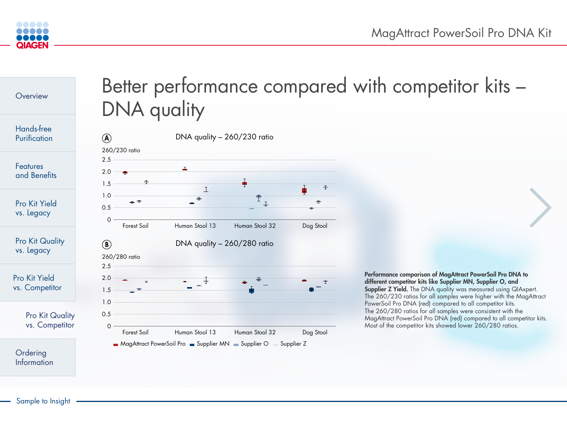



# Better performance compared with competitor kits – DNA quality



Performance comparison of MagAttract PowerSoil Pro DNA to different competitor kits like Supplier MN, Supplier O, and Supplier Z Yield. The DNA quality was measured using QIAxpert. The 260/230 ratios for all samples were higher with the MagAttract PowerSoil Pro DNA (red) compared to all competitor kits. The 260/280 ratios for all samples were consistent with the MagAttract PowerSoil Pro DNA (red) compared to all competitor kits. Most of the competitor kits showed lower 260/280 ratios.



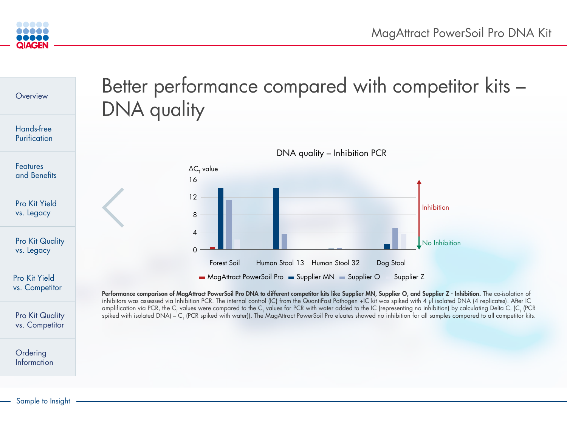**Information**